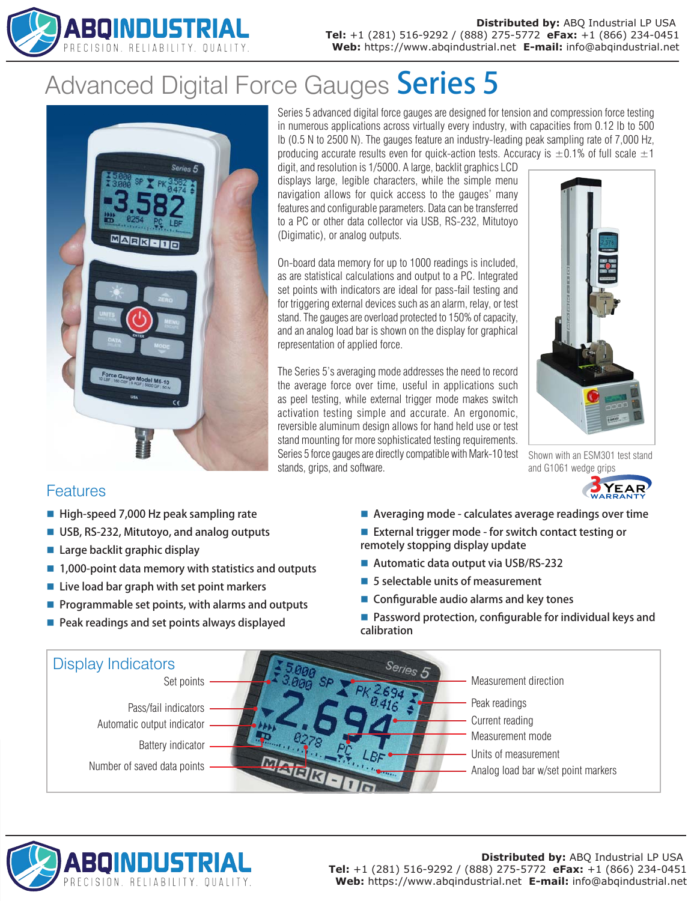

# Advanced Digital Force Gauges Series 5



Series 5 advanced digital force gauges are designed for tension and compression force testing in numerous applications across virtually every industry, with capacities from 0.12 lb to 500 lb (0.5 N to 2500 N). The gauges feature an industry-leading peak sampling rate of 7,000 Hz, producing accurate results even for quick-action tests. Accuracy is  $\pm 0.1\%$  of full scale  $\pm 1$ 

digit, and resolution is 1/5000. A large, backlit graphics LCD displays large, legible characters, while the simple menu navigation allows for quick access to the gauges' many features and configurable parameters. Data can be transferred to a PC or other data collector via USB, RS-232, Mitutoyo (Digimatic), or analog outputs.

On-board data memory for up to 1000 readings is included, as are statistical calculations and output to a PC. Integrated set points with indicators are ideal for pass-fail testing and for triggering external devices such as an alarm, relay, or test stand. The gauges are overload protected to 150% of capacity, and an analog load bar is shown on the display for graphical representation of applied force.

The Series 5's averaging mode addresses the need to record the average force over time, useful in applications such as peel testing, while external trigger mode makes switch activation testing simple and accurate. An ergonomic, reversible aluminum design allows for hand held use or test stand mounting for more sophisticated testing requirements. Series 5 force gauges are directly compatible with Mark-10 test stands, grips, and software.



Shown with an ESM301 test stand and G1061 wedge grips



## Features

- $\blacksquare$  High-speed 7,000 Hz peak sampling rate
- USB, RS-232, Mitutoyo, and analog outputs
- $\blacksquare$  Large backlit graphic display
- $\blacksquare$  1,000-point data memory with statistics and outputs
- $\blacksquare$  Live load bar graph with set point markers
- $\blacksquare$  Programmable set points, with alarms and outputs
- $\blacksquare$  Peak readings and set points always displayed
- $\blacksquare$  Averaging mode calculates average readings over time
- External trigger mode for switch contact testing or remotely stopping display update
- Automatic data output via USB/RS-232
- $\blacksquare$  5 selectable units of measurement
- $\blacksquare$  Configurable audio alarms and key tones
- $\blacksquare$  Password protection, configurable for individual keys and calibration





#### **Distributed by:** ABQ Industrial LP USA **Tel:** +1 (281) 516-9292 / (888) 275-5772 **eFax:** +1 (866) 234-0451 **Web:** https://www.abqindustrial.net **E-mail:** info@abqindustrial.net